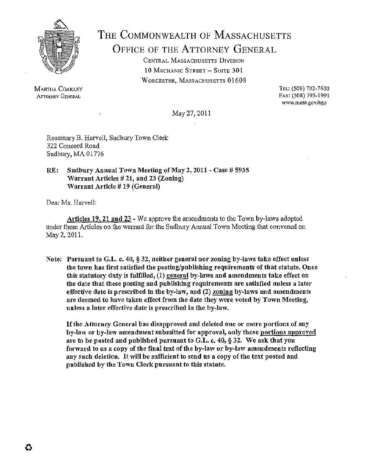

## THE COMMONWEALTH OF MASSACHUSETTS OFFICE OF THE ATTORNEY GENERAL

CENTRAL MASSACHUSETTS DIVISION 10 MECHANIC STREET - SUITE 301 WORCESTER, MASSACHUSETTS 01608

MARTHA COAKLEY **ATTORNEY GENERAL** 

TEL: (508) 792~7600 FAX: (508) 795-1991 www.mass.gov/ago

May27, 2011

Rosemary B. Harvell, Sudbury Town Clerk 322 Concord Road Sudbury, MA 01776

RE: Sudbury Annual Town Meeting of May 2, 2011 - Case # 5935 Warrant Articles# 21, and 23 (Zoning) Warrant Article #19 (General)

Dear Ms. Harvell:

Articles  $19$ ,  $21$  and  $23$  - We approve the amendments to the Town by-laws adopted under these Articles on the warrant for the Sudbury Annual Town Meeting that convened on May2, 2011.

Note: Pursuant to G.L. c. 40, § 32, neither general nor zoning by-laws take effect unless the town has first satisfied the posting/publishing requirements of that statute. Once this statutory duty is fulfilled,  $(1)$  general by-laws and amendments take effect on the date that these posting and publishing requirements are satisfied unless a later effective date is prescribed in the by-law, and  $(2)$  zoning by-laws and amendments are deemed to have taken effect from the date they were voted by Town Meeting, unless a later effective date is prescribed in the by-law.

If the Attorney General has disapproved and deleted one or more portions of any by-law or by-law amendment submitted for approval, only those portions approved are to be posted and published pursuant to G.L. c. 40, § 32. We ask that you forward to us a copy of the final text of the by-law or by-law amendments reflecting any such deletion. It will be sufficient to send us a copy of the text posted and published by the Town Clerk pursuant to this statute.